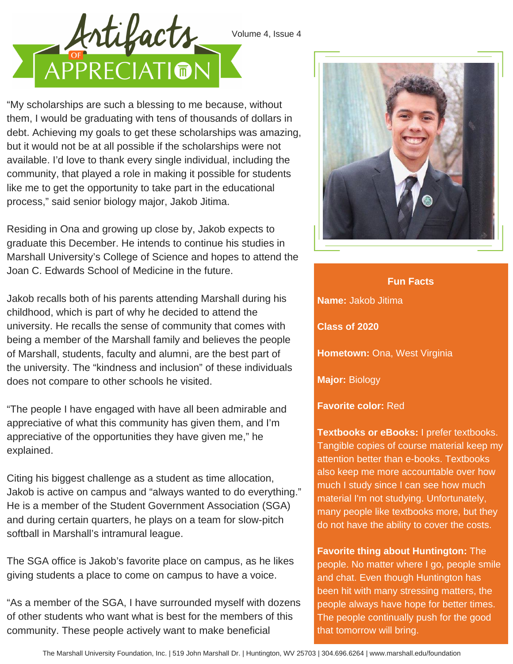



"My scholarships are such a blessing to me because, without them, I would be graduating with tens of thousands of dollars in debt. Achieving my goals to get these scholarships was amazing, but it would not be at all possible if the scholarships were not available. I'd love to thank every single individual, including the community, that played a role in making it possible for students like me to get the opportunity to take part in the educational process," said senior biology major, Jakob Jitima.

Residing in Ona and growing up close by, Jakob expects to graduate this December. He intends to continue his studies in Marshall University's College of Science and hopes to attend the Joan C. Edwards School of Medicine in the future.

Jakob recalls both of his parents attending Marshall during his childhood, which is part of why he decided to attend the university. He recalls the sense of community that comes with being a member of the Marshall family and believes the people of Marshall, students, faculty and alumni, are the best part of the university. The "kindness and inclusion" of these individuals does not compare to other schools he visited.

"The people I have engaged with have all been admirable and appreciative of what this community has given them, and I'm appreciative of the opportunities they have given me," he explained.

Citing his biggest challenge as a student as time allocation, Jakob is active on campus and "always wanted to do everything." He is a member of the Student Government Association (SGA) and during certain quarters, he plays on a team for slow-pitch softball in Marshall's intramural league.

The SGA office is Jakob's favorite place on campus, as he likes giving students a place to come on campus to have a voice.

"As a member of the SGA, I have surrounded myself with dozens of other students who want what is best for the members of this community. These people actively want to make beneficial



**Name:** Jakob Jitima **Class of 2020 Hometown:** Ona, West Virginia **Major:** Biology **Fun Facts**

**Favorite color:** Red

**Textbooks or eBooks:** I prefer textbooks. Tangible copies of course material keep my attention better than e-books. Textbooks also keep me more accountable over how much I study since I can see how much material I'm not studying. Unfortunately, many people like textbooks more, but they do not have the ability to cover the costs.

**Favorite thing about Huntington:** The people. No matter where I go, people smile and chat. Even though Huntington has been hit with many stressing matters, the people always have hope for better times. The people continually push for the good that tomorrow will bring.